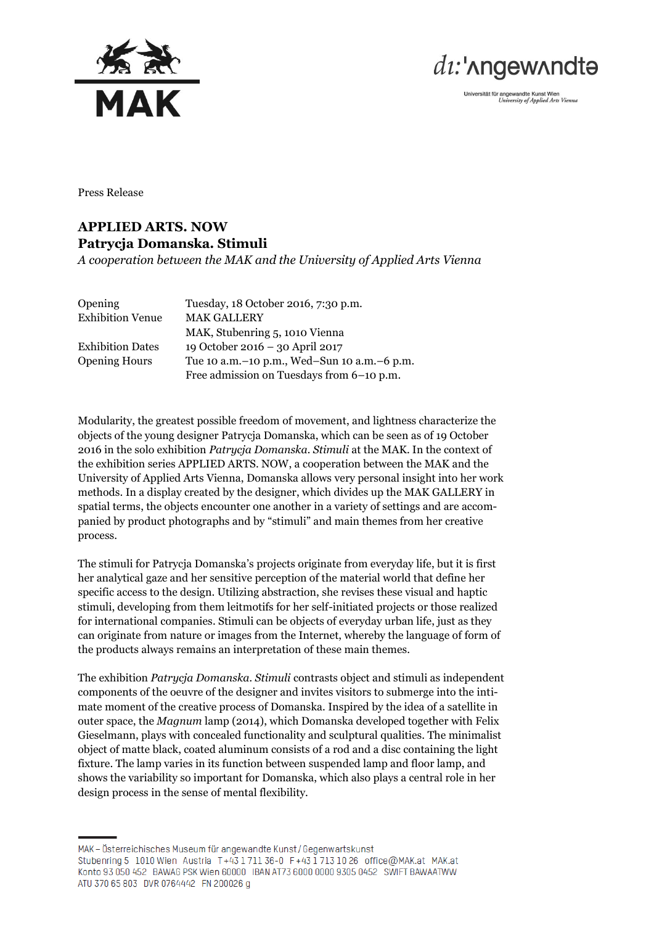



Universität für angewandte Kunst Wien<br>University of Applied Arts Vienna

Press Release

## **APPLIED ARTS. NOW Patrycja Domanska. Stimuli**

*A cooperation between the MAK and the University of Applied Arts Vienna*

| <b>Opening</b>          | Tuesday, 18 October 2016, 7:30 p.m.             |
|-------------------------|-------------------------------------------------|
| <b>Exhibition Venue</b> | <b>MAK GALLERY</b>                              |
|                         | MAK, Stubenring 5, 1010 Vienna                  |
| <b>Exhibition Dates</b> | 19 October 2016 – 30 April 2017                 |
| <b>Opening Hours</b>    | Tue 10 a.m. - 10 p.m., Wed-Sun 10 a.m. - 6 p.m. |
|                         | Free admission on Tuesdays from 6-10 p.m.       |

Modularity, the greatest possible freedom of movement, and lightness characterize the objects of the young designer Patrycja Domanska, which can be seen as of 19 October 2016 in the solo exhibition *Patrycja Domanska. Stimuli* at the MAK. In the context of the exhibition series APPLIED ARTS. NOW, a cooperation between the MAK and the University of Applied Arts Vienna, Domanska allows very personal insight into her work methods. In a display created by the designer, which divides up the MAK GALLERY in spatial terms, the objects encounter one another in a variety of settings and are accompanied by product photographs and by "stimuli" and main themes from her creative process.

The stimuli for Patrycja Domanska's projects originate from everyday life, but it is first her analytical gaze and her sensitive perception of the material world that define her specific access to the design. Utilizing abstraction, she revises these visual and haptic stimuli, developing from them leitmotifs for her self-initiated projects or those realized for international companies. Stimuli can be objects of everyday urban life, just as they can originate from nature or images from the Internet, whereby the language of form of the products always remains an interpretation of these main themes.

The exhibition *Patrycja Domanska. Stimuli* contrasts object and stimuli as independent components of the oeuvre of the designer and invites visitors to submerge into the intimate moment of the creative process of Domanska. Inspired by the idea of a satellite in outer space, the *Magnum* lamp (2014), which Domanska developed together with Felix Gieselmann, plays with concealed functionality and sculptural qualities. The minimalist object of matte black, coated aluminum consists of a rod and a disc containing the light fixture. The lamp varies in its function between suspended lamp and floor lamp, and shows the variability so important for Domanska, which also plays a central role in her design process in the sense of mental flexibility.

MAK - Österreichisches Museum für angewandte Kunst/Gegenwartskunst Stubenring 5 1010 Wien Austria T+43 1711 36-0 F+43 1713 10 26 office@MAK.at MAK.at Konto 93 050 452 BAWAG PSK Wien 60000 IBAN AT73 6000 0000 9305 0452 SWIFT BAWAATWW ATU 370 65 803 DVR 0764442 FN 200026 g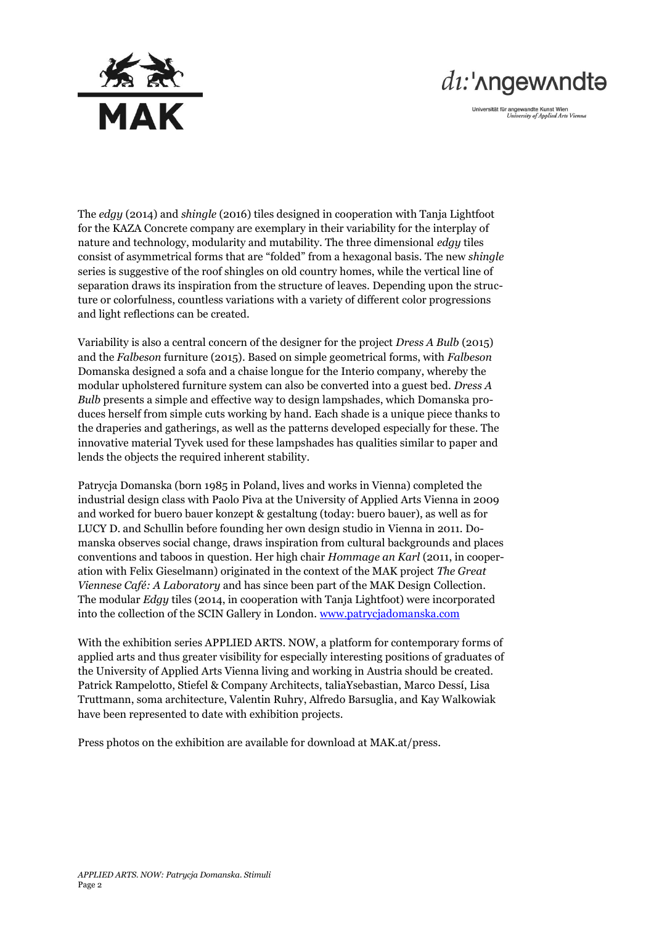

## di:'nngewnndta

Universität für angewandte Kunst Wien<br>University of Applied Arts Vienna

The *edgy* (2014) and *shingle* (2016) tiles designed in cooperation with Tanja Lightfoot for the KAZA Concrete company are exemplary in their variability for the interplay of nature and technology, modularity and mutability. The three dimensional *edgy* tiles consist of asymmetrical forms that are "folded" from a hexagonal basis. The new *shingle* series is suggestive of the roof shingles on old country homes, while the vertical line of separation draws its inspiration from the structure of leaves. Depending upon the structure or colorfulness, countless variations with a variety of different color progressions and light reflections can be created.

Variability is also a central concern of the designer for the project *Dress A Bulb* (2015) and the *Falbeson* furniture (2015). Based on simple geometrical forms, with *Falbeson* Domanska designed a sofa and a chaise longue for the Interio company, whereby the modular upholstered furniture system can also be converted into a guest bed. *Dress A Bulb* presents a simple and effective way to design lampshades, which Domanska produces herself from simple cuts working by hand. Each shade is a unique piece thanks to the draperies and gatherings, as well as the patterns developed especially for these. The innovative material Tyvek used for these lampshades has qualities similar to paper and lends the objects the required inherent stability.

Patrycja Domanska (born 1985 in Poland, lives and works in Vienna) completed the industrial design class with Paolo Piva at the University of Applied Arts Vienna in 2009 and worked for buero bauer konzept & gestaltung (today: buero bauer), as well as for LUCY D. and Schullin before founding her own design studio in Vienna in 2011. Domanska observes social change, draws inspiration from cultural backgrounds and places conventions and taboos in question. Her high chair *Hommage an Karl* (2011, in cooperation with Felix Gieselmann) originated in the context of the MAK project *The Great Viennese Café: A Laboratory* and has since been part of the MAK Design Collection. The modular *Edgy* tiles (2014, in cooperation with Tanja Lightfoot) were incorporated into the collection of the SCIN Gallery in London. [www.patrycjadomanska.com](http://www.patrycjadomanska.com/)

With the exhibition series APPLIED ARTS. NOW, a platform for contemporary forms of applied arts and thus greater visibility for especially interesting positions of graduates of the University of Applied Arts Vienna living and working in Austria should be created. Patrick Rampelotto, Stiefel & Company Architects, taliaYsebastian, Marco Dessí, Lisa Truttmann, soma architecture, Valentin Ruhry, Alfredo Barsuglia, and Kay Walkowiak have been represented to date with exhibition projects.

Press photos on the exhibition are available for download at MAK.at/press.